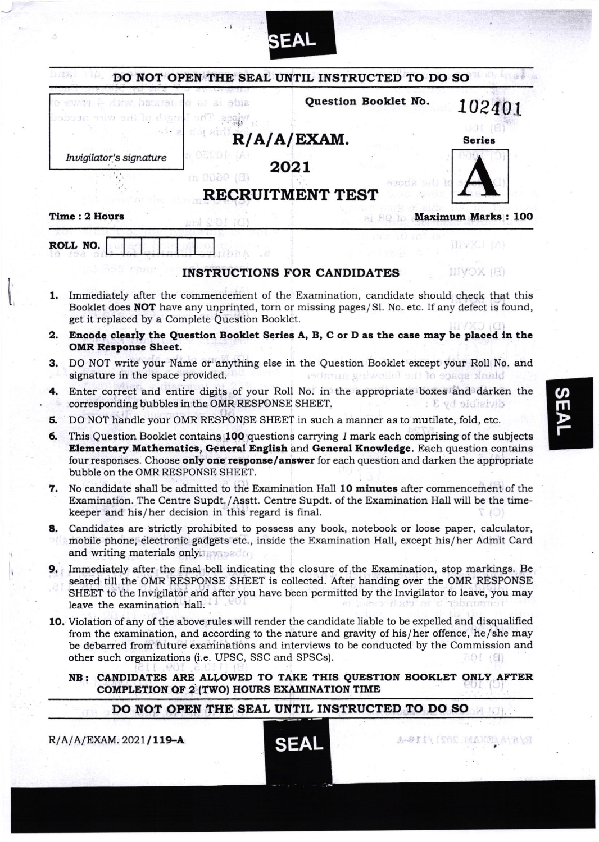|          |                                                                                                                        |            | <b>SEAL</b>                                                                                                                                                                                                                                                                           |                           |
|----------|------------------------------------------------------------------------------------------------------------------------|------------|---------------------------------------------------------------------------------------------------------------------------------------------------------------------------------------------------------------------------------------------------------------------------------------|---------------------------|
|          | DILET                                                                                                                  |            | DO NOT OPEN THE SEAL UNTIL INSTRUCTED TO DO SO                                                                                                                                                                                                                                        |                           |
|          | DS : 131<br>conson anw sit le diam<br>Invigilator's signature                                                          | m 0009 (9) | Question Booklet No.<br>$R/A/A/EXAMPLE$ XAM.<br>2021                                                                                                                                                                                                                                  | 102401<br><b>Series</b>   |
|          |                                                                                                                        |            | <b>RECRUITMENT TEST</b>                                                                                                                                                                                                                                                               |                           |
|          | Time: 2 Hours                                                                                                          |            |                                                                                                                                                                                                                                                                                       | <b>Maximum Marks: 100</b> |
| 1.       | ROLL NO.<br>get it replaced by a Complete Question Booklet.                                                            |            | <b>INSTRUCTIONS FOR CANDIDATES</b><br>Immediately after the commencement of the Examination, candidate should check that this<br>Booklet does NOT have any unprinted, torn or missing pages/Sl. No. etc. If any defect is found,                                                      | 11 WX 1 (A)<br>$HVOX$ (8) |
| 2.       | Encode clearly the Question Booklet Series A, B, C or D as the case may be placed in the<br><b>OMR Response Sheet.</b> |            |                                                                                                                                                                                                                                                                                       |                           |
| з.       | signature in the space provided.                                                                                       |            | DO NOT write your Name or anything else in the Question Booklet except your Roll No. and<br>blank space of the following number                                                                                                                                                       |                           |
| 4.<br>5. | corresponding bubbles in the OMR RESPONSE SHEET.                                                                       |            | Enter correct and entire digits of your Roll No. in the appropriate boxes and darken the<br>DO NOT handle your OMR RESPONSE SHEET in such a manner as to mutilate, fold, etc.                                                                                                         | divisible by 3:           |
| 6.       | bubble on the OMR RESPONSE SHEET.                                                                                      |            | This Question Booklet contains 100 questions carrying 1 mark each comprising of the subjects<br>Elementary Mathematics, General English and General Knowledge. Each question contains<br>four responses. Choose only one response/answer for each question and darken the appropriate |                           |

7. No candidate shall be admitted to the Examination Hall 10 minutes after commencement of the Examination. The Centre Supdt./Asstt. Centre Supdt. of the Examination Hall will be the timekeeper and his/her decision in this regard is final.

cn m **P** 

- 8. Candidates are strictly prohibited to possess any book, notebook or loose paper, calculator, mobile phone, electronic gadgets etc., inside the Examination Hall, except his/her Admit Card and writing materials only.thypedon
- 9. Immediately after the final bell indicating the closure of the Examination, stop markings. Be seated till the OMR RESPONSE SHEET is collected. After handing over the OMR RESPONSE SHEET to the Invigilator and after you have been permitted by the Invigilator to leave, you may leave the examination hall.
- 10. Violation of any of the above rules will render the candidate liable to be expelled and disqualified from the examination, and according to the nature and gravity of his/her offence, he/she may be debarred from future examinations and interviews to be conducted by the Commission and other such organizations (i.e. UPSC, SSC and SPSCs). 201 (SH

NB: CANDIDATES ARE ALLOWED TO TAKE THIS QUESTION BOOKLET ONLY AFTER COMPLETION OF 2 (TWO) HOURS EXAMINATION TIME

2021 /119-4

DO NOT OPEN THE SEAL UNTIL INSTRUCTED TO DO SO

 $R/A/A/EXAM. 2021/119-A$  SEAL